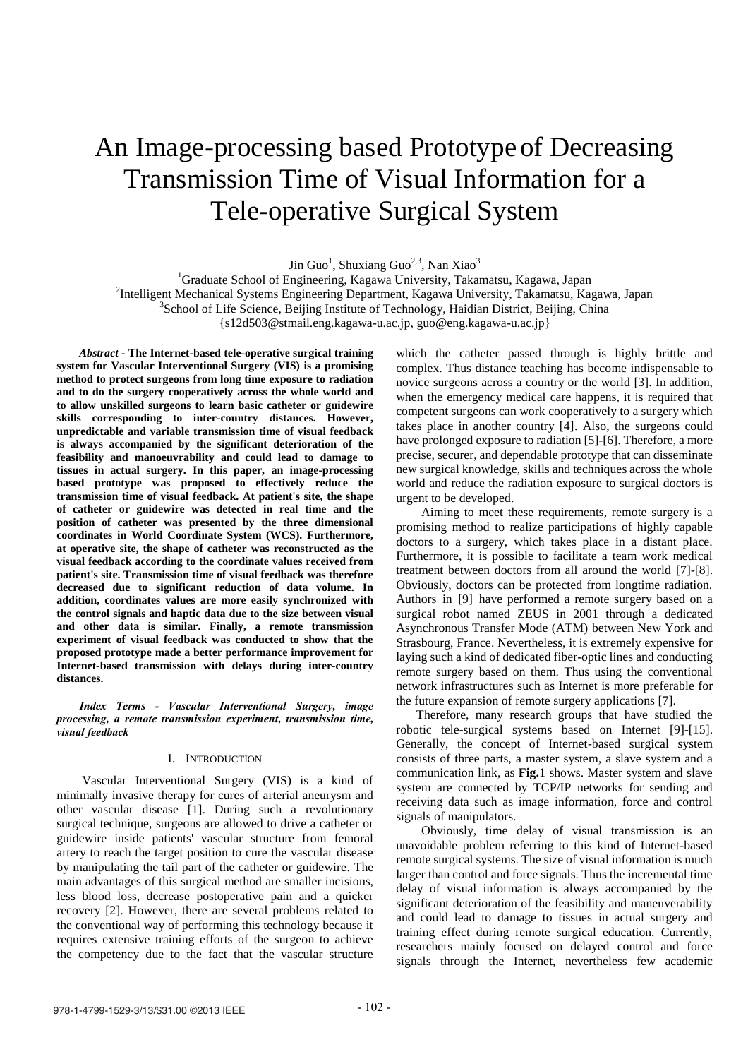# An Image -processing based Prototypeof Decreasing Transmission Time of Visual Information for a Tele -operative Surgical System

Jin Guo<sup>1</sup>, Shuxiang Guo<sup>2,3</sup>, Nan Xiao<sup>3</sup>

<sup>1</sup>Graduate School of Engineering, Kagawa University, Takamatsu, Kagawa, Japan <sup>2</sup>Intelligent Mechanical Systems Engineering Department, Kagawa University, Takamatsu, Kagawa, Japan <sup>3</sup>School of Life Science, Beijing Institute of Technology, University, Takamatsu, Kagawa, Japan <sup>3</sup>School of Life Science, Beijing Institute of Technology, Haidian District, Beijing, China

{s12d503@stmail.eng.kagawa-u.ac.jp, guo@eng.kagawa-u.ac.jp}

*Abstract* **- The Internet -based tele -operative surgical training system for Vascular Interventional Surgery (VIS) is a promising method to protect surgeons from long time exposure to radiation and to do the surgery cooperatively across the whole world and to allow unskilled surgeons to learn basic catheter or guidewire skills corresponding to inter -country distances. However, unpredictable and variable transmission time of visual feedback is always accompanied by the significant deterioration of the feasibility and manoeuvrability and could lead to damage to**  tissues in actual surgery. In this paper, an image-processing based prototype was proposed to effectively reduce the **transmission time of visual feedback. At patient's site, the shape of catheter or guidewire was detected in real time and the position of catheter was presented by the three dimensional coordinates in World Coordinate System (WCS). Furthermore, at operative site, the shape of catheter was reconstructed as the visual feedback according to the coordinate values received from**  patient's site. Transmission time of visual feedback was therefore **decreased due to significant reduction of data volume. In addition, coordinates values are more easily synchronized with the control signals and haptic data due to the size between visual and other data is similar . Finally, a remote transmission experiment of visual feedback was conducted to show that the proposed prototype made a better performance improvement for Internet -based transmission with delays during inter -country distances .**

 *Index Terms - Vascular Interventional Surgery, image processing, a remote transmission experiment, transmission time, visual feedback*

#### I. INTRODUCTION

 Vascular Interventional Surgery (VIS) is a kind of minimally invasive therapy for cures of arterial aneurysm and other vascular disease [1]. During such a revolutionary surgical technique, surgeons are allowed to drive a catheter or guidewire inside patients' vascular structure from femoral artery to reach the target position to cure the vascular disease by manipulating the tail part of the catheter or guidewire. The main advantages of this surgical method are smaller incisions, less blood loss, decrease postoperative pain and a quicker recovery [2] . However, there are several problems related to the conventional way of performing this technology because it requires extensive training efforts of the surgeon to achieve the competency due to the fact that the vascular structure

which the catheter passed through is highly brittle and complex . Thus distance teaching has become indispensable to novice surgeons across a country or the world [3]. In addition, when the emergency medical care happens, it is required that competent surgeons can work cooperatively to a surgery which takes place in another country [4]. Also, the surgeons could have prolonged exposure to radiation [5]-[6]. Therefore, a more precise , securer, and dependable prototype that can disseminate new surgical knowledge, skills and techniques across the whole world and reduce the radiation exposure to surgical doctors is urgent to be developed .

 Aiming to meet these requirements, remote surgery is a promising method to realize participations of highly capable doctors to a surgery, which takes place in a distant place. Furthermore , it is possible to facilitate a team work medical treatment between doctors from all around the world [7] -[8]. Obviously, doctors can be protected from longtime radiation. Authors in [9] have performed a remote surgery based on a surgical robot named ZEUS in 2001 through a dedicated Asynchronous Transfer Mode (ATM) between New York and Strasbourg, France. Nevertheless , it is extremely expensive for laying such a kind of dedicated fiber -optic lines and conducting remote surgery based on them. Thus using the conventional network infrastructures such as Internet is more preferable for the future expansion of remote surgery applications [ 7 ].

 Therefore, many research groups that have studied the robotic tele -surgical systems based on Internet [9] -[15]. Generally, the concept of Internet -based surgical system consists of three parts, a master system , a slave system and a communication link, as **Fig.** 1 shows. Master system and slave system are connected by TCP/IP networks for sending and receiving data such as image information, force and control signals of manipulators.

 Obviously, time delay of visual transmission is an unavoidable problem referring to this kind of Internet -based remote surgical systems. The size of visual information is much larger than control and force signals. Thus the incremental time delay of visual information is always accompanied by the significant deterioration of the feasibility and maneuverability and could lead to damage to tissues in actual surgery and training effect during remote surgical education. Currently, researchers mainly focused on delayed control and force signals through the Internet, nevertheless few academic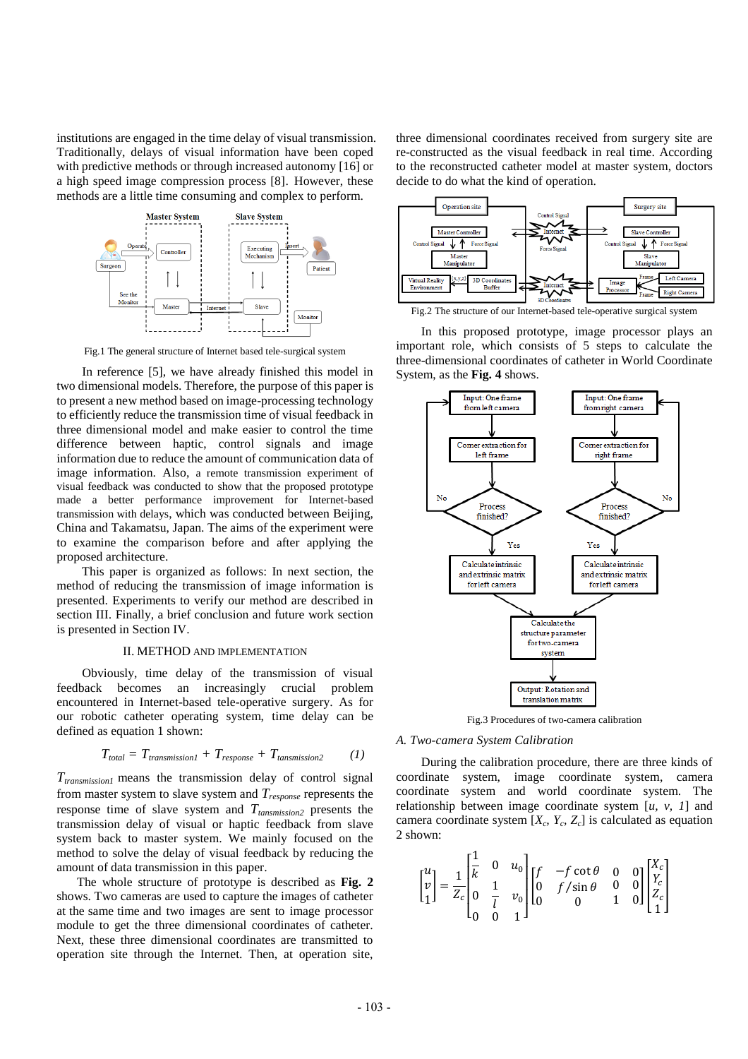institutions are engaged in the time delay of visual transmission. Traditionally, delays of visual information have been coped with predictive methods or through increased autonomy [16] or a high speed image compression process [8]. However, these methods are a little time consuming and complex to perform.



Fig. 1 The general structure of Internet based tele -surgical system

 In reference [5], we have already finished this model in two dimensional models. Therefore, the purpose of this paper is to present a new method based on image -processing technology to efficiently reduce the transmission time of visual feedback in three dimensional model and make easier to control the time difference between haptic, control signals and image information due to reduce the amount of communication data of image information. Also, a remote transmission experiment of visual feedback was conducted to show that the proposed prototype made a better performance improvement for Internet -based transmission with delays, which was conducted between Beijing, China and Takamatsu, Japan. The aims of the experiment were to examine the comparison before and after applying the proposed architecture.

This paper is organized as follows : In next section , the method of reducing the transmission of image information is presented. Experiments to verify our method are described in section III. Finally, a brief conclusion and future work section is presented in Section IV.

#### II . METHOD AND IMPLEMENTATION

 Obviously, time delay of the transmission of visual feedback becomes an increasingly crucial problem encountered in Internet -based tele -operative surgery. As for our robotic catheter operating system, time delay can be defined as equation 1 shown:

$$
T_{total} = T_{transmission1} + T_{response} + T_{transmission2} \tag{1}
$$

*Ttransmission1* means the transmission delay of control signal from master system to slave system and *Tresponse* represents the response time of slave system and *Ttansmission2* presents the transmission delay of visual or haptic feedback from slave system back to master system. We mainly focused on the method to solve the delay of visual feedback by reducing the amount of data transmission in this paper.

 The whole structure of prototype is described as **Fig. 2** shows. Two cameras are used to capture the images of catheter at the same time and two images are sent to image processor module to get the three dimensional coordinates of catheter. Next, these three dimensional coordinates are transmitted to operation site through the Internet. Then, at operation site,

three dimensional coordinates received from surgery site are re -constructed as the visual feedback in real time. According to the reconstructed catheter model at master system, doctors decide to do what the kind of operation.



Fig. 2 The structure of our Internet -based tele -operative surgical system

In this proposed prototype, image processor plays an important role, which consists of 5 steps to calculate the three -dimensional coordinates of catheter in World Coordinate System, as the Fig. 4 shows.



Fig. 3 Procedures of two -camera calibration

#### *A . Two -camera System Calibration*

During the calibration procedure, there are three kinds of coordinate system, image coordinate system, camera coordinate system and world coordinate system. The relationship between image coordinate system [*u, v, 1*] and camera coordinate system  $[X_c, Y_c, Z_c]$  is calculated as equation 2 shown:

$$
\begin{bmatrix} u \\ v \\ 1 \end{bmatrix} = \frac{1}{Z_c} \begin{bmatrix} \frac{1}{k} & 0 & u_0 \\ 0 & \frac{1}{l} & v_0 \\ 0 & 0 & 1 \end{bmatrix} \begin{bmatrix} f & -f \cot \theta & 0 & 0 \\ 0 & f/\sin \theta & 0 & 0 \\ 0 & 0 & 1 & 0 \end{bmatrix} \begin{bmatrix} X_c \\ Y_c \\ Z_c \\ 1 \end{bmatrix}
$$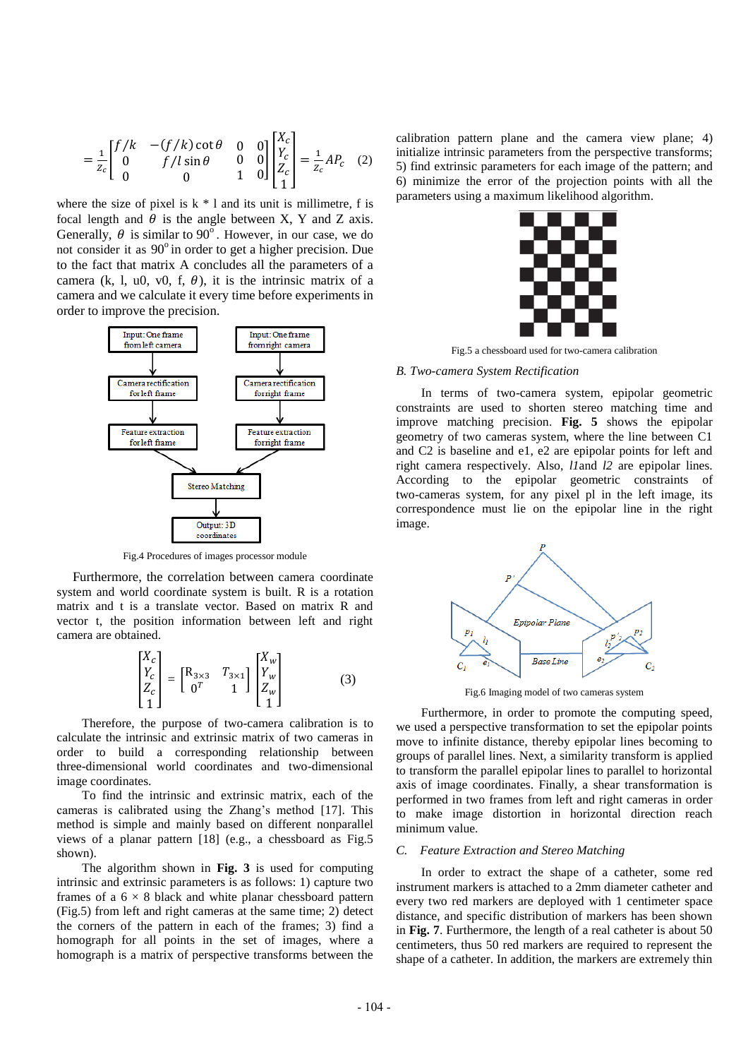$$
= \frac{1}{z_c} \begin{bmatrix} f/k & -(f/k)\cot\theta & 0 & 0 \\ 0 & f/l\sin\theta & 0 & 0 \\ 0 & 0 & 1 & 0 \end{bmatrix} \begin{bmatrix} X_c \\ Y_c \\ Z_c \\ 1 \end{bmatrix} = \frac{1}{z_c} A P_c \quad (2)
$$

 $-$ 

where the size of pixel is  $k * 1$  and its unit is millimetre, f is focal length and  $\theta$  is the angle between X, Y and Z axis. Generally,  $\theta$  is similar to 90<sup>o</sup>. However, in our case, we do not consider it as  $90^\circ$  in order to get a higher precision. Due to the fact that matrix A concludes all the parameters of a camera (k, l, u0, v0, f,  $\theta$ ), it is the intrinsic matrix of a camera and we calculate it every time before experiments in order to improve the precision.



Fig. 4 Procedures of images processor module

 Furthermore, the correlation between camera coordinate system and world coordinate system is built. R is a rotation matrix and t is a translate vector. Based on matrix R and vector t, the position information between left and right camera are obtained.

$$
\begin{bmatrix} X_c \\ Y_c \\ Z_c \\ 1 \end{bmatrix} = \begin{bmatrix} R_{3\times 3} & T_{3\times 1} \\ 0^T & 1 \end{bmatrix} \begin{bmatrix} X_w \\ Y_w \\ Z_w \\ 1 \end{bmatrix} \tag{3}
$$

Therefore, the purpose of two -camera calibration is to calculate the intrinsic and extrinsic matrix of two cameras in order to build a corresponding relationship between three -dimensional world coordinates and two -dimensional image coordinates.

To find the intrinsic and extrinsic matrix, each of the cameras is calibrated using the Zhang's method [17]. This method is simple and mainly based on different nonparallel views of a planar pattern [18] (e.g., a chessboard as Fig.5 shown).

The algorithm shown in **Fig. 3** is used for computing intrinsic and extrinsic parameters is as follows: 1) capture two frames of a  $6 \times 8$  black and white planar chessboard pattern (Fig.5) from left and right cameras at the same time; 2) detect the corners of the pattern in each of the frames ; 3) find a homograph for all points in the set of images, where a homograph is a matrix of perspective transforms between the

calibration pattern plane and the camera view plane; 4) initialize intrinsic parameters from the perspective transforms; 5) find extrinsic parameters for each image of the pattern; and 6) minimize the error of the projection points with all the parameters using a maximum likelihood algorithm .



Fig. 5 a chessboard used for two -camera calibration

### *B . Two - camera System Rectification*

In terms of two -camera system, epipolar geometric constraints are used to shorten stereo matching time and improve matching precision . **Fig. 5** shows the epipolar geometry of two cameras system, where the line between C1 and C2 is baseline and e1, e2 are epipolar points for left and right camera respectively. Also, *l1*and *l2* are epipolar lines. According to the epipolar geometric constraints of two -cameras system, for any pixel pl in the left image, its correspondence must lie on the epipolar line in the right image.



Fig. 6 Imaging model of two cameras system

Furthermore, in order to promote the computing speed, we used a perspective transformation to set the epipolar points move to infinite distance, thereby epipolar lines becoming to groups of parallel lines. Next, a similarity transform is applied to transform the parallel epipolar lines to parallel to horizontal axis of image coordinates. Finally, a shear transformation is performed in two frames from left and right cameras in order to make image distortion in horizontal direction reach minimum value.

#### *C. Feature Extraction and Stereo Matching*

In order to extract the shape of a catheter, some red instrument markers is attached to a 2mm diameter catheter and every two red markers are deployed with 1 centimeter space distance, and specific distribution of markers has been shown in **Fig. 7**. Furthermore, the length of a real catheter is about 50 centimeters, thus 50 red markers are required to represent the shape of a catheter. In addition, the markers are extremely thin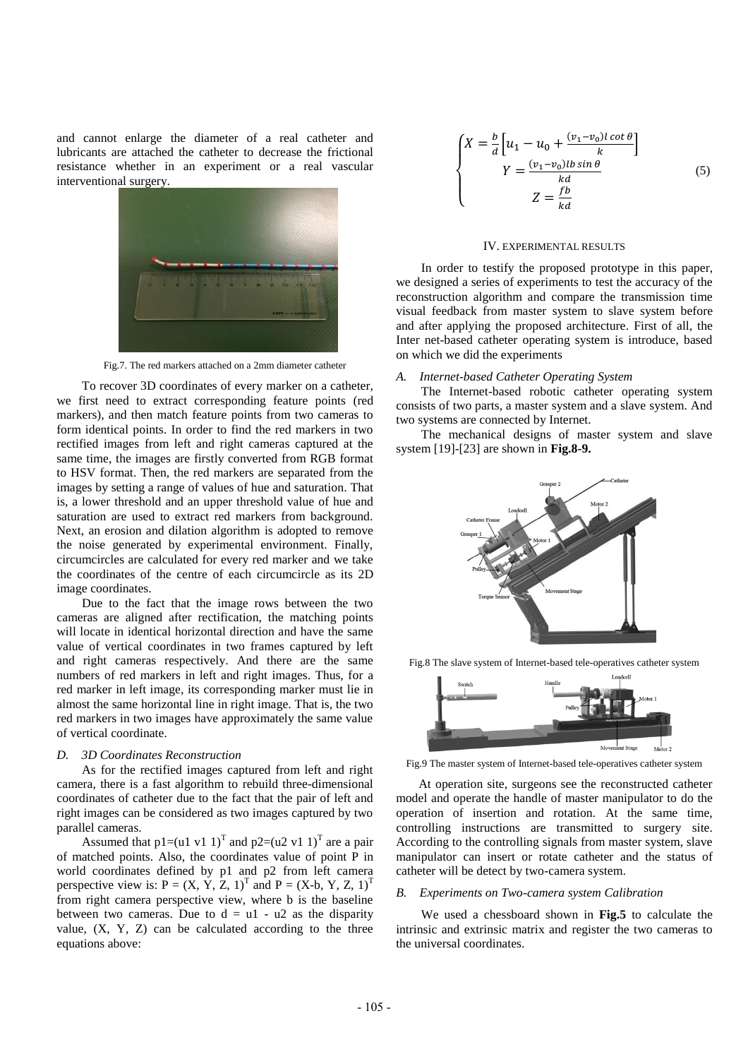and cannot enlarge the diameter of a real catheter and lubricants are attached the catheter to decrease the frictional resistance whether in a n experiment or a real vascular interventional surgery.



Fig. 7 . The red markers attached on a 2mm diameter catheter

To recover 3D coordinates of every marker on a catheter, we first need to extract corresponding feature points (red markers), and then match feature points from two cameras to form identical points. In order to find the red markers in two rectified images from left and right cameras captured at the same time, the images are firstly converted from RGB format to HSV format. Then, the red markers are separated from the images by setting a range of values of hue and saturation. That is, a lower threshold and an upper threshold value of hue and saturation are used to extract red markers from background. Next, an erosion and dilation algorithm is adopted to remove the noise generated by experimental environment. Finally, circumcircle s are calculated for every red marker and we take the coordinates of the centre of each circumcircle as its 2D image coordinates.

Due to the fact that the image rows between the two cameras are aligned after recti fication, the matching points will locate in identical horizontal direction and have the same value of vertical coordinates in two frames captured by left and right cameras respectively. And there are the same numbers of red markers in left and right images. Thus, for a red marker in left image, its corresponding marker must lie in almost the same horizontal line in right image. That is, the two red markers in two images have approximately the same value of vertical coordinate.

#### *D. 3D Coordinates Reconstruction*

As for the rectified images captured from left and right camera, there is a fast algorithm to rebuild three -dimensional coordinates of catheter due to the fact that the pair of left and right images can be considered as two images captured by two parallel cameras.

Assumed that  $p1=(u1 \text{ v1 1})^T$  and  $p2=(u2 \text{ v1 1})^T$  are a pair of matched points. Also, the coordinates value of point P in world coordinates defined by p1 and p2 from left camera perspective view is:  $P = (X, \dot{Y}, \dot{Z}, 1)^T$  and  $P = (X - b, Y, Z, 1)^T$ from right camera perspective view, where b is the baseline between two cameras. Due to  $d = u1 - u2$  as the disparity value,  $(X, Y, Z)$  can be calculated according to the three equations above:

$$
\begin{cases}\nX = \frac{b}{d} \left[ u_1 - u_0 + \frac{(v_1 - v_0)l \cot \theta}{k} \right] \\
Y = \frac{(v_1 - v_0)l b \sin \theta}{k d} \\
Z = \frac{fb}{k d}\n\end{cases}
$$
\n(5)

#### I V . EXPERIMENTAL RESULTS

In order to testify the proposed prototype in this paper, we designed a series of experiments to test the accuracy of the reconstruction algorithm and compare the transmission time visual feedback from master system to slave system before and after applying the proposed architecture. First of all, the Inter net -based catheter operating system is introduce, based on which we did the experiments

#### *A. Internet-based Catheter Operating System*

The Internet -based robotic catheter operating system consists of two parts, a master system and a slave system. And two systems are connected by Internet.

The mechanical designs of master system and slave system [19] -[23] are shown in **Fig.8 -9.**



Fig. 8 The slave system of Internet -based tele -operatives catheter system



Fig. 9 The master system of Internet -based tele -operatives catheter system

At operation site, surgeons see the reconstructed catheter model and operate the handle of master manipulator to do the operation of insertion and rotation. At the same time, controlling instructions are transmitted to surgery site. According to the controlling signals from master system, slave manipulator can insert or rotate catheter and the status of catheter will be detect by two -camera system.

#### *B . Experiments on Two -camera system Calibration*

 We used a chessboard shown in **Fig.5** to calculate the intrinsic and extrinsic matrix and register the two cameras to the universal coordinates.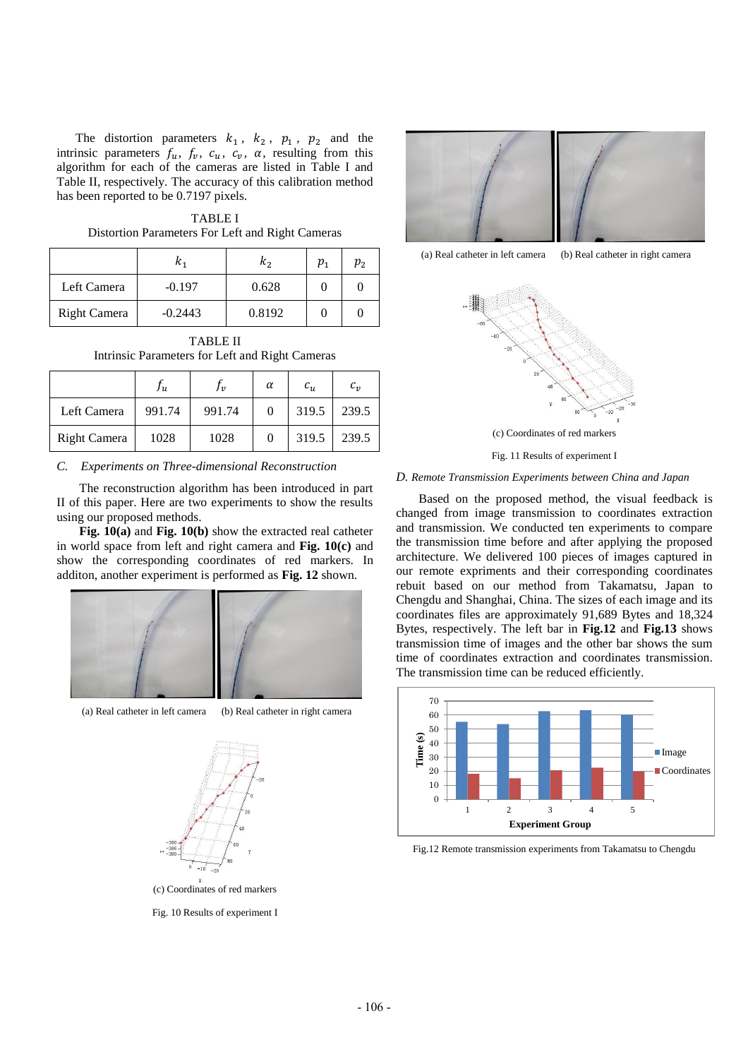The distortion parameters  $k_1$ ,  $k_2$ ,  $p_1$ ,  $p_2$  and the intrinsic parameters  $f_u$ ,  $f_v$ ,  $c_u$ ,  $c_v$ ,  $\alpha$ , resulting from this algorithm for each of the cameras are listed in Table I and Table II, respectively. The accuracy of this calibration method has been reported to be 0 .7197 pixels .

TABLE I Distortion Parameters For Left and Right Cameras

|              | ĸ1        | K <sub>2</sub> | $p_{1}$ | $p_{2}$ |
|--------------|-----------|----------------|---------|---------|
| Left Camera  | $-0.197$  | 0.628          |         |         |
| Right Camera | $-0.2443$ | 0.8192         |         |         |

TABLE II Intrinsic Parameters for Left and Right Cameras

|                     | Ju     | Ιv     | $\alpha$ | $c_{u}$ | $C_{12}$ |
|---------------------|--------|--------|----------|---------|----------|
| Left Camera         | 991.74 | 991.74 | ∩        | 319.5   | 239.5    |
| <b>Right Camera</b> | 1028   | 1028   |          | 319.5   | 239.5    |

*C . Experiments on Three -dimensional Reconstruction* 

The reconstruction algorithm has been introduced in part II of this paper. Here are two experiments to show the results using our proposed methods.

**Fig. 1 0(a)** and **Fig. 1 0 ( b )** show the extracted real catheter in world space from left and right camera and **Fig. 1 0 ( c )** and show the corresponding coordinates of red markers. In additon, another experiment is performed as **Fig. 1 2** shown.



(a) Real catheter in left camera (b) Real catheter in right camera



(c) Coordinates of red markers

Fig. 1 0 Results of experiment I



(a) Real catheter in left camera (b) Real catheter in right camera



#### Fig. 1 1 Results of experiment I

## *D . Remote Transmission Experiments between China and Japan*

Based on the proposed method, the visual feedback is changed from image transmission to coordinates extraction and transmission. We conducted ten exp eriments to compare the transmission time before and after applying the proposed architecture . We delivered 100 pieces of images captured in our remote expriments and their corresponding coordinates rebuit based on our method from Takamatsu, Japan to Chengdu and Shanghai, China . The sizes of each image and its coordinates files are approximately 9 1 ,689 Bytes and 1 8 ,324 Bytes, respectively. The left bar in **Fig.1 2** and **Fig.1 3** shows transmission time of images and the other bar shows the sum time of coordinates extraction and coordinates transmission . The transmission time can be reduced efficiently.